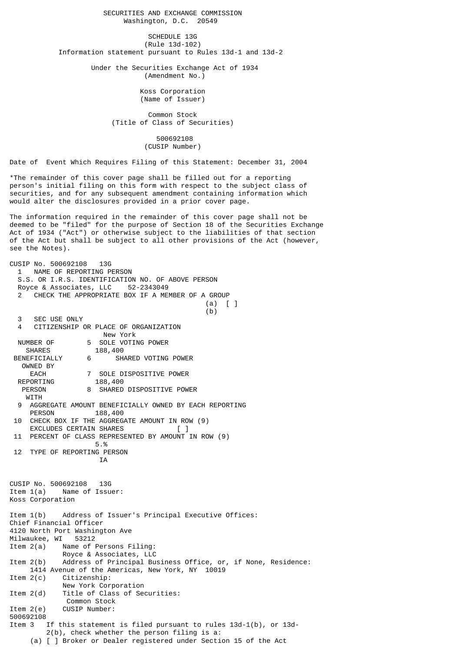SECURITIES AND EXCHANGE COMMISSION Washington, D.C. 20549

SCHEDULE 13G (Rule 13d-102) Information statement pursuant to Rules 13d-1 and 13d-2

> Under the Securities Exchange Act of 1934 (Amendment No.)

> > Koss Corporation (Name of Issuer)

 Common Stock (Title of Class of Securities)

> 500692108 (CUSIP Number)

Date of Event Which Requires Filing of this Statement: December 31, 2004

\*The remainder of this cover page shall be filled out for a reporting person's initial filing on this form with respect to the subject class of securities, and for any subsequent amendment containing information which would alter the disclosures provided in a prior cover page.

The information required in the remainder of this cover page shall not be deemed to be "filed" for the purpose of Section 18 of the Securities Exchange Act of 1934 ("Act") or otherwise subject to the liabilities of that section of the Act but shall be subject to all other provisions of the Act (however, see the Notes).

CUSIP No. 500692108 13G 1 NAME OF REPORTING PERSON S.S. OR I.R.S. IDENTIFICATION NO. OF ABOVE PERSON Royce & Associates, LLC 52-2343049 CHECK THE APPROPRIATE BOX IF A MEMBER OF A GROUP (a) [ ]  $(b)$  3 SEC USE ONLY 4 CITIZENSHIP OR PLACE OF ORGANIZATION New York NUMBER OF 5 SOLE VOTING POWER<br>SHARES 188,400 188,400 BENEFICIALLY 6 SHARED VOTING POWER OWNED BY EACH 7 SOLE DISPOSITIVE POWER REPORTING PERSON 8 SHARED DISPOSITIVE POWER **WITH**  9 AGGREGATE AMOUNT BENEFICIALLY OWNED BY EACH REPORTING 188,400 10 CHECK BOX IF THE AGGREGATE AMOUNT IN ROW (9) EXCLUDES CERTAIN SHARES 11 PERCENT OF CLASS REPRESENTED BY AMOUNT IN ROW (9) 5.% 12 TYPE OF REPORTING PERSON IA CUSIP No. 500692108 13G Item 1(a) Name of Issuer: Koss Corporation Item 1(b) Address of Issuer's Principal Executive Offices: Chief Financial Officer 4120 North Port Washington Ave Milwaukee, WI Item 2(a) Name of Persons Filing: Royce & Associates, LLC Item 2(b) Address of Principal Business Office, or, if None, Residence: 1414 Avenue of the Americas, New York, NY 10019 Item 2(c) Citizenship: New York Corporation Item 2(d) Title of Class of Securities: Common Stock Item 2(e) CUSIP Number: 500692108 Item 3 If this statement is filed pursuant to rules 13d-1(b), or 13d- 2(b), check whether the person filing is a: (a) [ ] Broker or Dealer registered under Section 15 of the Act